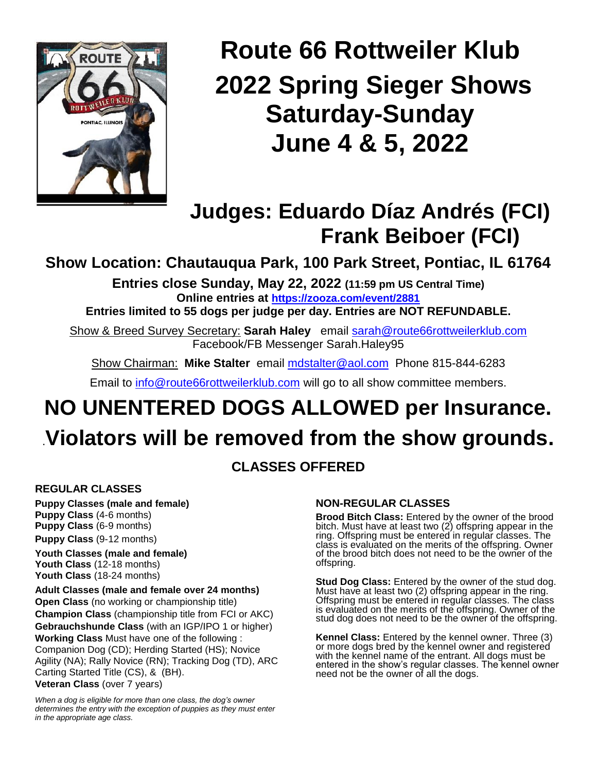

## **Route 66 Rottweiler Klub 2022 Spring Sieger Shows Saturday-Sunday June 4 & 5, 2022**

## **Judges: Eduardo Díaz Andrés (FCI) Frank Beiboer (FCI)**

**Show Location: Chautauqua Park, 100 Park Street, Pontiac, IL 61764**

**Entries close Sunday, May 22, 2022 (11:59 pm US Central Time) Online entries at <https://zooza.com/event/2881>**

**Entries limited to 55 dogs per judge per day. Entries are NOT REFUNDABLE.**

Show & Breed Survey Secretary: **Sarah Haley** email [sarah@route66rottweilerklub.com](mailto:sarah@route66rottweilerklub.com) Facebook/FB Messenger Sarah.Haley95

Show Chairman: **Mike Stalter** email [mdstalter@aol.com](mailto:mdstalter@aol.com) Phone 815-844-6283

Email to [info@route66rottweilerklub.com](mailto:info@route66rottweilerklub.com) will go to all show committee members.

# **NO UNENTERED DOGS ALLOWED per Insurance.**

## .**Violators will be removed from the show grounds.**

## **CLASSES OFFERED**

#### **REGULAR CLASSES**

**Puppy Classes (male and female) Puppy Class** (4-6 months) **Puppy Class** (6-9 months) **Puppy Class** (9-12 months)

**Youth Classes (male and female) Youth Class** (12-18 months) **Youth Class** (18-24 months)

#### **Adult Classes (male and female over 24 months)**

**Open Class** (no working or championship title) **Champion Class** (championship title from FCI or AKC) **Gebrauchshunde Class** (with an IGP/IPO 1 or higher) **Working Class** Must have one of the following : Companion Dog (CD); Herding Started (HS); Novice Agility (NA); Rally Novice (RN); Tracking Dog (TD), ARC Carting Started Title (CS), & (BH). **Veteran Class** (over 7 years)

*When a dog is eligible for more than one class, the dog's owner determines the entry with the exception of puppies as they must enter in the appropriate age class.*

#### **NON-REGULAR CLASSES**

**Brood Bitch Class:** Entered by the owner of the brood bitch. Must have at least two (2) offspring appear in the ring. Offspring must be entered in regular classes. The class is evaluated on the merits of the offspring. Owner of the brood bitch does not need to be the owner of the offspring.

**Stud Dog Class:** Entered by the owner of the stud dog. Must have at least two (2) offspring appear in the ring. Offspring must be entered in regular classes. The class is evaluated on the merits of the offspring. Owner of the stud dog does not need to be the owner of the offspring.

**Kennel Class:** Entered by the kennel owner. Three (3) or more dogs bred by the kennel owner and registered with the kennel name of the entrant. All dogs must be entered in the show's regular classes. The kennel owner need not be the owner of all the dogs.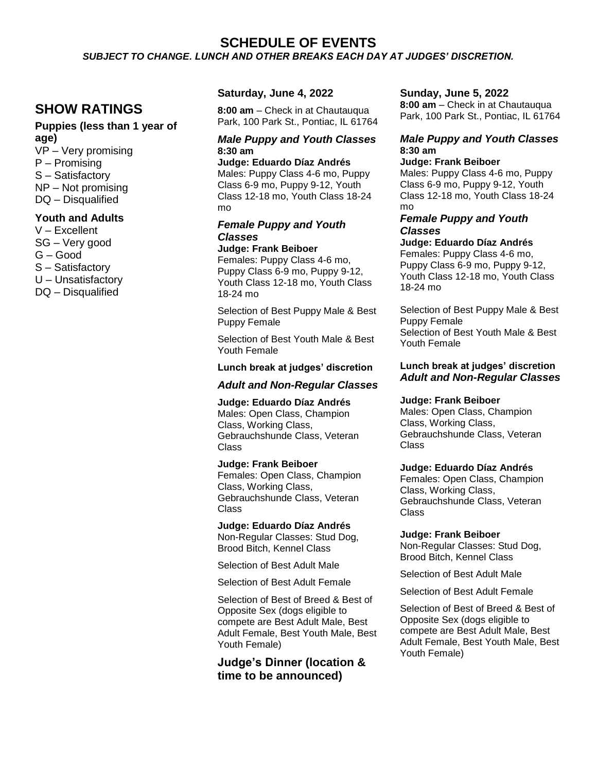#### **SCHEDULE OF EVENTS**

*SUBJECT TO CHANGE. LUNCH AND OTHER BREAKS EACH DAY AT JUDGES' DISCRETION.*

### **SHOW RATINGS**

### **Puppies (less than 1 year of age)**

VP – Very promising P – Promising S – Satisfactory NP – Not promising DQ – Disqualified

#### **Youth and Adults**

V – Excellent SG – Very good G – Good S – Satisfactory U – Unsatisfactory DQ – Disqualified

#### **Saturday, June 4, 2022**

**8:00 am** – Check in at Chautauqua Park, 100 Park St., Pontiac, IL 61764

#### *Male Puppy and Youth Classes*  **8:30 am**

**Judge: Eduardo Díaz Andrés** Males: Puppy Class 4-6 mo, Puppy Class 6-9 mo, Puppy 9-12, Youth Class 12-18 mo, Youth Class 18-24 mo

#### *Female Puppy and Youth Classes*

#### **Judge: Frank Beiboer**

Females: Puppy Class 4-6 mo, Puppy Class 6-9 mo, Puppy 9-12, Youth Class 12-18 mo, Youth Class 18-24 mo

Selection of Best Puppy Male & Best Puppy Female

Selection of Best Youth Male & Best Youth Female

#### **Lunch break at judges' discretion**

#### *Adult and Non-Regular Classes*

**Judge: Eduardo Díaz Andrés** Males: Open Class, Champion Class, Working Class, Gebrauchshunde Class, Veteran Class

**Judge: Frank Beiboer** Females: Open Class, Champion Class, Working Class, Gebrauchshunde Class, Veteran Class

**Judge: Eduardo Díaz Andrés** Non-Regular Classes: Stud Dog, Brood Bitch, Kennel Class

Selection of Best Adult Male

Selection of Best Adult Female

Selection of Best of Breed & Best of Opposite Sex (dogs eligible to compete are Best Adult Male, Best Adult Female, Best Youth Male, Best Youth Female)

**Judge's Dinner (location & time to be announced)**

#### **Sunday, June 5, 2022**

**8:00 am** – Check in at Chautauqua Park, 100 Park St., Pontiac, IL 61764

#### *Male Puppy and Youth Classes*  **8:30 am**

#### **Judge: Frank Beiboer**

Males: Puppy Class 4-6 mo, Puppy Class 6-9 mo, Puppy 9-12, Youth Class 12-18 mo, Youth Class 18-24 mo

#### *Female Puppy and Youth Classes*

**Judge: Eduardo Díaz Andrés** Females: Puppy Class 4-6 mo, Puppy Class 6-9 mo, Puppy 9-12, Youth Class 12-18 mo, Youth Class 18-24 mo

Selection of Best Puppy Male & Best Puppy Female Selection of Best Youth Male & Best Youth Female

#### **Lunch break at judges' discretion** *Adult and Non-Regular Classes*

#### **Judge: Frank Beiboer**

Males: Open Class, Champion Class, Working Class, Gebrauchshunde Class, Veteran **Class** 

#### **Judge: Eduardo Díaz Andrés**

Females: Open Class, Champion Class, Working Class, Gebrauchshunde Class, Veteran Class

#### **Judge: Frank Beiboer**

Non-Regular Classes: Stud Dog, Brood Bitch, Kennel Class

Selection of Best Adult Male

Selection of Best Adult Female

Selection of Best of Breed & Best of Opposite Sex (dogs eligible to compete are Best Adult Male, Best Adult Female, Best Youth Male, Best Youth Female)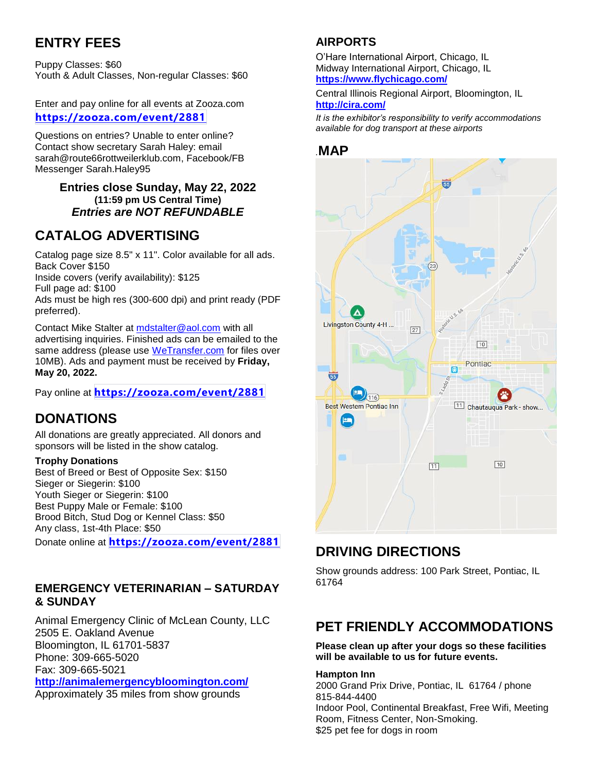## **ENTRY FEES**

Puppy Classes: \$60 Youth & Adult Classes, Non-regular Classes: \$60

Enter and pay online for all events at Zooza.com **<https://zooza.com/event/2881>**

Questions on entries? Unable to enter online? Contact show secretary Sarah Haley: email sarah@route66rottweilerklub.com, Facebook/FB Messenger Sarah.Haley95

#### **Entries close Sunday, May 22, 2022 (11:59 pm US Central Time)** *Entries are NOT REFUNDABLE*

## **CATALOG ADVERTISING**

Catalog page size 8.5" x 11". Color available for all ads. Back Cover \$150

Inside covers (verify availability): \$125

Full page ad: \$100

Ads must be high res (300-600 dpi) and print ready (PDF preferred).

Contact Mike Stalter at [mdstalter@aol.com](mailto:mdstalter@aol.com) with all advertising inquiries. Finished ads can be emailed to the same address (please use [WeTransfer.com](https://wetransfer.com/) for files over 10MB). Ads and payment must be received by **Friday, May 20, 2022.**

Pay online at **<https://zooza.com/event/2881>**

## **DONATIONS**

All donations are greatly appreciated. All donors and sponsors will be listed in the show catalog.

#### **Trophy Donations**

Best of Breed or Best of Opposite Sex: \$150 Sieger or Siegerin: \$100 Youth Sieger or Siegerin: \$100 Best Puppy Male or Female: \$100 Brood Bitch, Stud Dog or Kennel Class: \$50 Any class, 1st-4th Place: \$50

Donate online at **<https://zooza.com/event/2881>**

### **EMERGENCY VETERINARIAN – SATURDAY & SUNDAY**

Animal Emergency Clinic of McLean County, LLC 2505 E. Oakland Avenue Bloomington, IL 61701-5837 Phone: 309-665-5020 Fax: 309-665-5021 **<http://animalemergencybloomington.com/>**

Approximately 35 miles from show grounds

## **AIRPORTS**

O'Hare International Airport, Chicago, IL Midway International Airport, Chicago, IL **<https://www.flychicago.com/>**

Central Illinois Regional Airport, Bloomington, IL **<http://cira.com/>**

*It is the exhibitor's responsibility to verify accommodations available for dog transport at these airports*

#### *.***MAP**



## **DRIVING DIRECTIONS**

Show grounds address: 100 Park Street, Pontiac, IL 61764

## **PET FRIENDLY ACCOMMODATIONS**

**Please clean up after your dogs so these facilities will be available to us for future events.**

#### **Hampton Inn**

2000 Grand Prix Drive, Pontiac, IL 61764 / phone 815-844-4400 Indoor Pool, Continental Breakfast, Free Wifi, Meeting Room, Fitness Center, Non-Smoking. \$25 pet fee for dogs in room